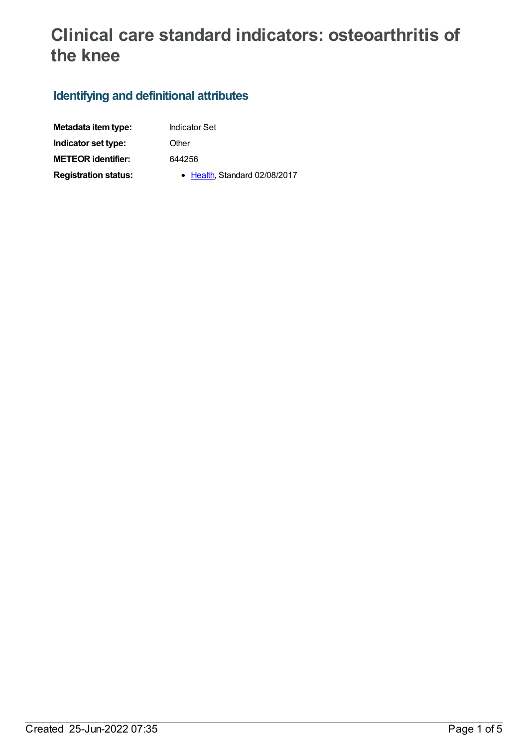# **Clinical care standard indicators: osteoarthritis of the knee**

# **Identifying and definitional attributes**

| Metadata item type:         |
|-----------------------------|
| Indicator set type:         |
| <b>METEOR identifier:</b>   |
| <b>Registration status:</b> |

**Indicator Set** 

**Other** 

**METEOR identifier:** 644256

**• [Health](https://meteor.aihw.gov.au/RegistrationAuthority/12), Standard 02/08/2017**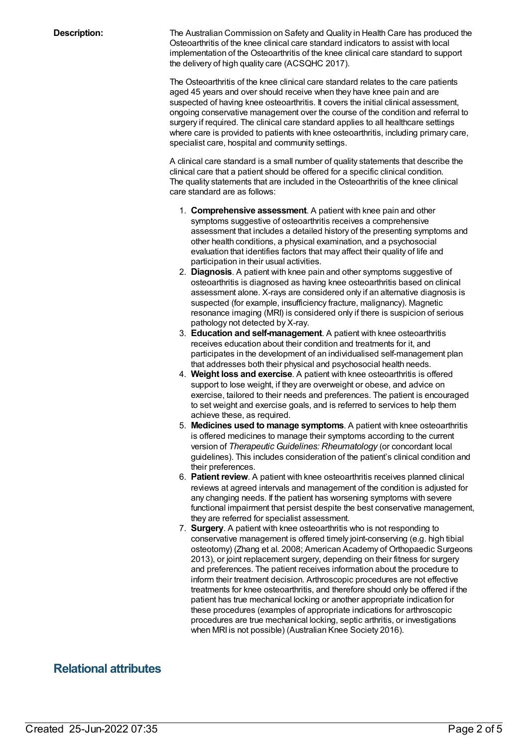**Description:** The Australian Commission on Safety and Quality in Health Care has produced the Osteoarthritis of the knee clinical care standard indicators to assist with local implementation of the Osteoarthritis of the knee clinical care standard to support the delivery of high quality care (ACSQHC 2017).

> The Osteoarthritis of the knee clinical care standard relates to the care patients aged 45 years and over should receive when they have knee pain and are suspected of having knee osteoarthritis. It covers the initial clinical assessment, ongoing conservative management over the course of the condition and referral to surgery if required. The clinical care standard applies to all healthcare settings where care is provided to patients with knee osteoarthritis, including primary care, specialist care, hospital and community settings.

A clinical care standard is a small number of quality statements that describe the clinical care that a patient should be offered for a specific clinical condition. The quality statements that are included in the Osteoarthritis of the knee clinical care standard are as follows:

- 1. **Comprehensive assessment**. A patient with knee pain and other symptoms suggestive of osteoarthritis receives a comprehensive assessment that includes a detailed history of the presenting symptoms and other health conditions, a physical examination, and a psychosocial evaluation that identifies factors that may affect their quality of life and participation in their usual activities.
- 2. **Diagnosis**. A patient with knee pain and other symptoms suggestive of osteoarthritis is diagnosed as having knee osteoarthritis based on clinical assessment alone. X-rays are considered only if an alternative diagnosis is suspected (for example, insufficiency fracture, malignancy). Magnetic resonance imaging (MRI) is considered only if there is suspicion of serious pathology not detected by X-ray.
- 3. **Education and self-management**. A patient with knee osteoarthritis receives education about their condition and treatments for it, and participates in the development of an individualised self-management plan that addresses both their physical and psychosocial health needs.
- 4. **Weight loss and exercise**. A patient with knee osteoarthritis is offered support to lose weight, if they are overweight or obese, and advice on exercise, tailored to their needs and preferences. The patient is encouraged to set weight and exercise goals, and is referred to services to help them achieve these, as required.
- 5. **Medicines used to manage symptoms**. A patient with knee osteoarthritis is offered medicines to manage their symptoms according to the current version of *Therapeutic Guidelines: Rheumatology* (or concordant local guidelines). This includes consideration of the patient's clinical condition and their preferences.
- 6. **Patient review**. A patient with knee osteoarthritis receives planned clinical reviews at agreed intervals and management of the condition is adjusted for any changing needs. If the patient has worsening symptoms with severe functional impairment that persist despite the best conservative management, they are referred for specialist assessment.
- 7. **Surgery**. A patient with knee osteoarthritis who is not responding to conservative management is offered timely joint-conserving (e.g. high tibial osteotomy) (Zhang et al. 2008; American Academy of Orthopaedic Surgeons 2013), or joint replacement surgery, depending on their fitness for surgery and preferences. The patient receives information about the procedure to inform their treatment decision. Arthroscopic procedures are not effective treatments for knee osteoarthritis, and therefore should only be offered if the patient has true mechanical locking or another appropriate indication for these procedures (examples of appropriate indications for arthroscopic procedures are true mechanical locking, septic arthritis, or investigations when MRI is not possible) (Australian Knee Society 2016).

## **Relational attributes**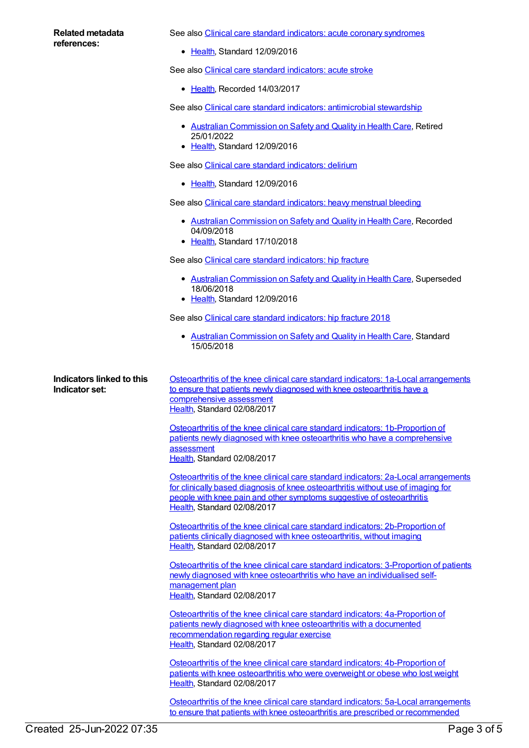| Related metadata<br>references:                    | See also Clinical care standard indicators: acute coronary syndromes                                                                                                                                                                                                            |
|----------------------------------------------------|---------------------------------------------------------------------------------------------------------------------------------------------------------------------------------------------------------------------------------------------------------------------------------|
|                                                    | • Health, Standard 12/09/2016                                                                                                                                                                                                                                                   |
|                                                    | See also Clinical care standard indicators: acute stroke                                                                                                                                                                                                                        |
|                                                    | • Health, Recorded 14/03/2017                                                                                                                                                                                                                                                   |
|                                                    | See also Clinical care standard indicators: antimicrobial stewardship                                                                                                                                                                                                           |
|                                                    | • Australian Commission on Safety and Quality in Health Care, Retired<br>25/01/2022<br>• Health, Standard 12/09/2016                                                                                                                                                            |
|                                                    | See also Clinical care standard indicators: delirium                                                                                                                                                                                                                            |
|                                                    | • Health, Standard 12/09/2016                                                                                                                                                                                                                                                   |
|                                                    | See also Clinical care standard indicators: heavy menstrual bleeding                                                                                                                                                                                                            |
|                                                    | • Australian Commission on Safety and Quality in Health Care, Recorded<br>04/09/2018<br>• Health, Standard 17/10/2018                                                                                                                                                           |
|                                                    | See also Clinical care standard indicators: hip fracture                                                                                                                                                                                                                        |
|                                                    | • Australian Commission on Safety and Quality in Health Care, Superseded<br>18/06/2018<br>• Health, Standard 12/09/2016                                                                                                                                                         |
|                                                    | See also Clinical care standard indicators: hip fracture 2018                                                                                                                                                                                                                   |
|                                                    | • Australian Commission on Safety and Quality in Health Care, Standard<br>15/05/2018                                                                                                                                                                                            |
| <b>Indicators linked to this</b><br>Indicator set: | Osteoarthritis of the knee clinical care standard indicators: 1a-Local arrangements<br>to ensure that patients newly diagnosed with knee osteoarthritis have a<br>comprehensive assessment<br>Health, Standard 02/08/2017                                                       |
|                                                    | Osteoarthritis of the knee clinical care standard indicators: 1b-Proportion of<br>patients newly diagnosed with knee osteoarthritis who have a comprehensive<br>assessment<br>Health, Standard 02/08/2017                                                                       |
|                                                    | Osteoarthritis of the knee clinical care standard indicators: 2a-Local arrangements<br>for clinically based diagnosis of knee osteoarthritis without use of imaging for<br>people with knee pain and other symptoms suggestive of osteoarthritis<br>Health, Standard 02/08/2017 |
|                                                    | Osteoarthritis of the knee clinical care standard indicators: 2b-Proportion of<br>patients clinically diagnosed with knee osteoarthritis, without imaging<br>Health, Standard 02/08/2017                                                                                        |
|                                                    | Osteoarthritis of the knee clinical care standard indicators: 3-Proportion of patients<br>newly diagnosed with knee osteoarthritis who have an individualised self-<br>management plan<br>Health, Standard 02/08/2017                                                           |
|                                                    | Osteoarthritis of the knee clinical care standard indicators: 4a-Proportion of<br>patients newly diagnosed with knee osteoarthritis with a documented<br>recommendation regarding regular exercise<br>Health, Standard 02/08/2017                                               |
|                                                    | Osteoarthritis of the knee clinical care standard indicators: 4b-Proportion of<br>patients with knee osteoarthritis who were overweight or obese who lost weight<br>Health, Standard 02/08/2017                                                                                 |

Osteoarthritis of the knee clinical care standard indicators: 5a-Local arrangements to ensure that patients with knee osteoarthritis are prescribed or [recommended](https://meteor.aihw.gov.au/content/644306)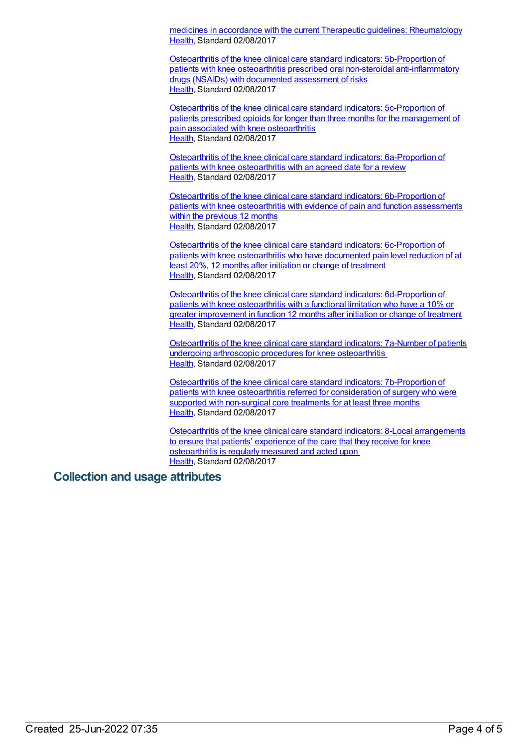medicines in accordance with the current Therapeutic guidelines: Rheumatology [Health](https://meteor.aihw.gov.au/RegistrationAuthority/12), Standard 02/08/2017

Osteoarthritis of the knee clinical care standard indicators: 5b-Proportion of patients with knee osteoarthritis prescribed oral non-steroidal [anti-inflammatory](https://meteor.aihw.gov.au/content/644304) drugs (NSAIDs) with documented assessment of risks [Health](https://meteor.aihw.gov.au/RegistrationAuthority/12), Standard 02/08/2017

Osteoarthritis of the knee clinical care standard indicators: [5c-Proportion](https://meteor.aihw.gov.au/content/644310) of patients prescribed opioids for longer than three months for the management of pain associated with knee osteoarthritis [Health](https://meteor.aihw.gov.au/RegistrationAuthority/12), Standard 02/08/2017

Osteoarthritis of the knee clinical care standard indicators: [6a-Proportion](https://meteor.aihw.gov.au/content/644312) of patients with knee osteoarthritis with an agreed date for a review [Health](https://meteor.aihw.gov.au/RegistrationAuthority/12), Standard 02/08/2017

Osteoarthritis of the knee clinical care standard indicators: [6b-Proportion](https://meteor.aihw.gov.au/content/644314) of patients with knee osteoarthritis with evidence of pain and function assessments within the previous 12 months [Health](https://meteor.aihw.gov.au/RegistrationAuthority/12), Standard 02/08/2017

Osteoarthritis of the knee clinical care standard indicators: [6c-Proportion](https://meteor.aihw.gov.au/content/644316) of patients with knee osteoarthritis who have documented pain level reduction of at least 20%, 12 months after initiation or change of treatment [Health](https://meteor.aihw.gov.au/RegistrationAuthority/12), Standard 02/08/2017

Osteoarthritis of the knee clinical care standard indicators: [6d-Proportion](https://meteor.aihw.gov.au/content/644320) of patients with knee osteoarthritis with a functional limitation who have a 10% or greater improvement in function 12 months after initiation or change of treatment [Health](https://meteor.aihw.gov.au/RegistrationAuthority/12), Standard 02/08/2017

[Osteoarthritis](https://meteor.aihw.gov.au/content/644337) of the knee clinical care standard indicators: 7a-Number of patients undergoing arthroscopic procedures for knee osteoarthritis [Health](https://meteor.aihw.gov.au/RegistrationAuthority/12), Standard 02/08/2017

Osteoarthritis of the knee clinical care standard indicators: [7b-Proportion](https://meteor.aihw.gov.au/content/644349) of patients with knee osteoarthritis referred for consideration of surgery who were supported with non-surgical core treatments for at least three months [Health](https://meteor.aihw.gov.au/RegistrationAuthority/12), Standard 02/08/2017

Osteoarthritis of the knee clinical care standard indicators: 8-Local [arrangements](https://meteor.aihw.gov.au/content/644358) to ensure that patients' experience of the care that they receive for knee osteoarthritis is regularly measured and acted upon [Health](https://meteor.aihw.gov.au/RegistrationAuthority/12), Standard 02/08/2017

#### **Collection and usage attributes**